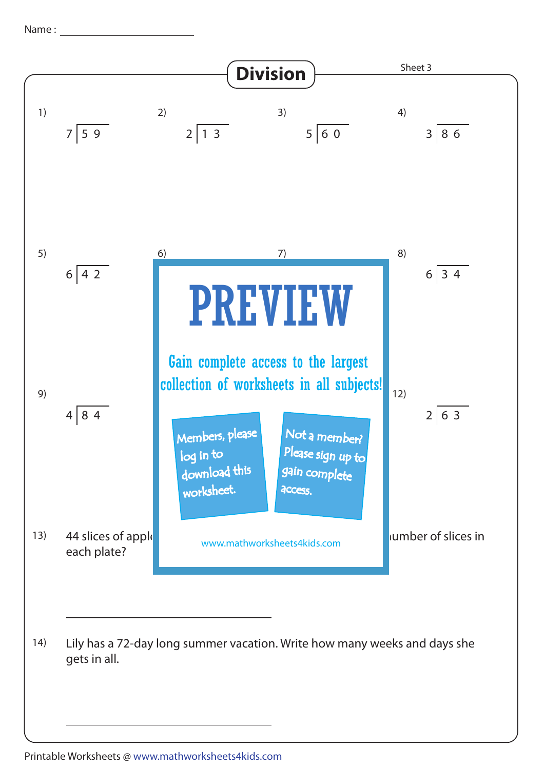